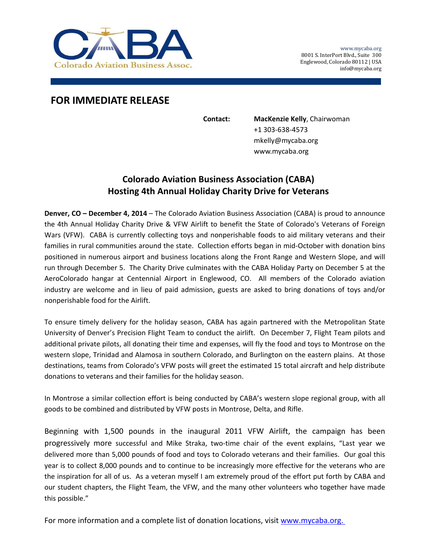

## **FOR IMMEDIATE RELEASE**

**Contact: MacKenzie Kelly**, Chairwoman +1 303‐638‐4573 mkelly@mycaba.org www.mycaba.org

## **Colorado Aviation Business Association (CABA) Hosting 4th Annual Holiday Charity Drive for Veterans**

**Denver, CO – December 4, 2014** – The Colorado Aviation Business Association (CABA) is proud to announce the 4th Annual Holiday Charity Drive & VFW Airlift to benefit the State of Colorado's Veterans of Foreign Wars (VFW). CABA is currently collecting toys and nonperishable foods to aid military veterans and their families in rural communities around the state. Collection efforts began in mid-October with donation bins positioned in numerous airport and business locations along the Front Range and Western Slope, and will run through December 5. The Charity Drive culminates with the CABA Holiday Party on December 5 at the AeroColorado hangar at Centennial Airport in Englewood, CO. All members of the Colorado aviation industry are welcome and in lieu of paid admission, guests are asked to bring donations of toys and/or nonperishable food for the Airlift.

To ensure timely delivery for the holiday season, CABA has again partnered with the Metropolitan State University of Denver's Precision Flight Team to conduct the airlift. On December 7, Flight Team pilots and additional private pilots, all donating their time and expenses, will fly the food and toys to Montrose on the western slope, Trinidad and Alamosa in southern Colorado, and Burlington on the eastern plains. At those destinations, teams from Colorado's VFW posts will greet the estimated 15 total aircraft and help distribute donations to veterans and their families for the holiday season.

In Montrose a similar collection effort is being conducted by CABA's western slope regional group, with all goods to be combined and distributed by VFW posts in Montrose, Delta, and Rifle.

Beginning with 1,500 pounds in the inaugural 2011 VFW Airlift, the campaign has been progressively more successful and Mike Straka, two-time chair of the event explains, "Last year we delivered more than 5,000 pounds of food and toys to Colorado veterans and their families. Our goal this year is to collect 8,000 pounds and to continue to be increasingly more effective for the veterans who are the inspiration for all of us. As a veteran myself I am extremely proud of the effort put forth by CABA and our student chapters, the Flight Team, the VFW, and the many other volunteers who together have made this possible."

For more information and a complete list of donation locations, visit www.mycaba.org.